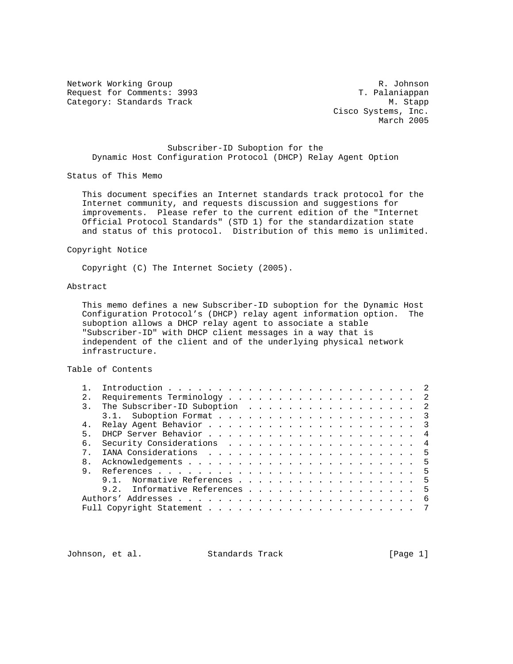Network Working Group Network Working Group Network R. Johnson Request for Comments: 3993 T. Palaniappan Category: Standards Track M. Stapp

 Cisco Systems, Inc. March 2005

 Subscriber-ID Suboption for the Dynamic Host Configuration Protocol (DHCP) Relay Agent Option

Status of This Memo

 This document specifies an Internet standards track protocol for the Internet community, and requests discussion and suggestions for improvements. Please refer to the current edition of the "Internet Official Protocol Standards" (STD 1) for the standardization state and status of this protocol. Distribution of this memo is unlimited.

## Copyright Notice

Copyright (C) The Internet Society (2005).

# Abstract

 This memo defines a new Subscriber-ID suboption for the Dynamic Host Configuration Protocol's (DHCP) relay agent information option. The suboption allows a DHCP relay agent to associate a stable "Subscriber-ID" with DHCP client messages in a way that is independent of the client and of the underlying physical network infrastructure.

#### Table of Contents

| 2.1            |                               |  |  |  |  |  |  |  |  |  |  |
|----------------|-------------------------------|--|--|--|--|--|--|--|--|--|--|
| 3 <sub>1</sub> | The Subscriber-ID Suboption 2 |  |  |  |  |  |  |  |  |  |  |
|                |                               |  |  |  |  |  |  |  |  |  |  |
| 4.             |                               |  |  |  |  |  |  |  |  |  |  |
| 5.             |                               |  |  |  |  |  |  |  |  |  |  |
| б.             | Security Considerations 4     |  |  |  |  |  |  |  |  |  |  |
| $7$ .          |                               |  |  |  |  |  |  |  |  |  |  |
| 8.             |                               |  |  |  |  |  |  |  |  |  |  |
| 9.             |                               |  |  |  |  |  |  |  |  |  |  |
|                | 9.1. Normative References 5   |  |  |  |  |  |  |  |  |  |  |
|                | 9.2. Informative References 5 |  |  |  |  |  |  |  |  |  |  |
|                |                               |  |  |  |  |  |  |  |  |  |  |
|                |                               |  |  |  |  |  |  |  |  |  |  |

Johnson, et al. Standards Track [Page 1]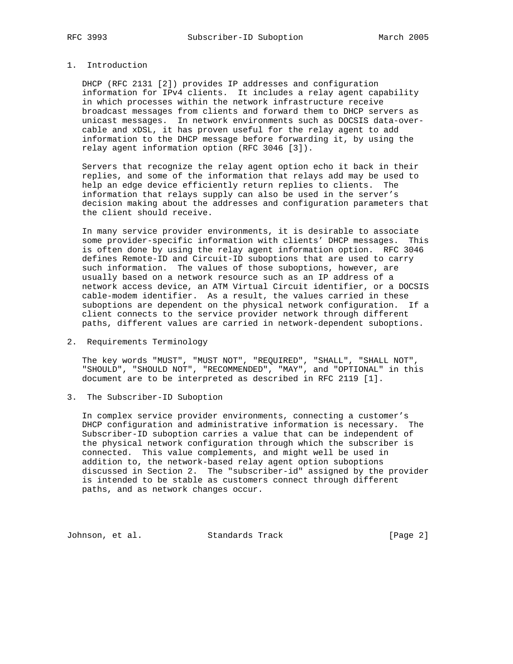# 1. Introduction

 DHCP (RFC 2131 [2]) provides IP addresses and configuration information for IPv4 clients. It includes a relay agent capability in which processes within the network infrastructure receive broadcast messages from clients and forward them to DHCP servers as unicast messages. In network environments such as DOCSIS data-over cable and xDSL, it has proven useful for the relay agent to add information to the DHCP message before forwarding it, by using the relay agent information option (RFC 3046 [3]).

 Servers that recognize the relay agent option echo it back in their replies, and some of the information that relays add may be used to help an edge device efficiently return replies to clients. The information that relays supply can also be used in the server's decision making about the addresses and configuration parameters that the client should receive.

 In many service provider environments, it is desirable to associate some provider-specific information with clients' DHCP messages. This is often done by using the relay agent information option. RFC 3046 defines Remote-ID and Circuit-ID suboptions that are used to carry such information. The values of those suboptions, however, are usually based on a network resource such as an IP address of a network access device, an ATM Virtual Circuit identifier, or a DOCSIS cable-modem identifier. As a result, the values carried in these suboptions are dependent on the physical network configuration. If a client connects to the service provider network through different paths, different values are carried in network-dependent suboptions.

2. Requirements Terminology

 The key words "MUST", "MUST NOT", "REQUIRED", "SHALL", "SHALL NOT", "SHOULD", "SHOULD NOT", "RECOMMENDED", "MAY", and "OPTIONAL" in this document are to be interpreted as described in RFC 2119 [1].

3. The Subscriber-ID Suboption

 In complex service provider environments, connecting a customer's DHCP configuration and administrative information is necessary. The Subscriber-ID suboption carries a value that can be independent of the physical network configuration through which the subscriber is connected. This value complements, and might well be used in addition to, the network-based relay agent option suboptions discussed in Section 2. The "subscriber-id" assigned by the provider is intended to be stable as customers connect through different paths, and as network changes occur.

Johnson, et al. Standards Track [Page 2]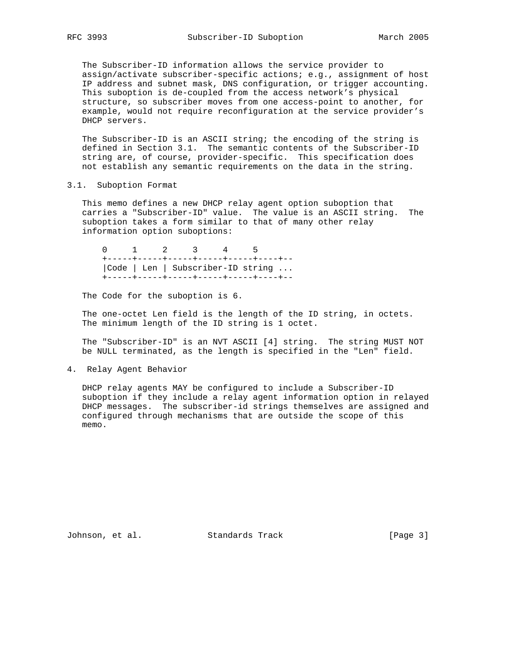The Subscriber-ID information allows the service provider to assign/activate subscriber-specific actions; e.g., assignment of host IP address and subnet mask, DNS configuration, or trigger accounting. This suboption is de-coupled from the access network's physical structure, so subscriber moves from one access-point to another, for example, would not require reconfiguration at the service provider's DHCP servers.

 The Subscriber-ID is an ASCII string; the encoding of the string is defined in Section 3.1. The semantic contents of the Subscriber-ID string are, of course, provider-specific. This specification does not establish any semantic requirements on the data in the string.

#### 3.1. Suboption Format

 This memo defines a new DHCP relay agent option suboption that carries a "Subscriber-ID" value. The value is an ASCII string. The suboption takes a form similar to that of many other relay information option suboptions:

 0 1 2 3 4 5 +-----+-----+-----+-----+-----+----+-- |Code | Len | Subscriber-ID string ... +-----+-----+-----+-----+-----+----+--

The Code for the suboption is 6.

 The one-octet Len field is the length of the ID string, in octets. The minimum length of the ID string is 1 octet.

 The "Subscriber-ID" is an NVT ASCII [4] string. The string MUST NOT be NULL terminated, as the length is specified in the "Len" field.

#### 4. Relay Agent Behavior

 DHCP relay agents MAY be configured to include a Subscriber-ID suboption if they include a relay agent information option in relayed DHCP messages. The subscriber-id strings themselves are assigned and configured through mechanisms that are outside the scope of this memo.

Johnson, et al. Standards Track [Page 3]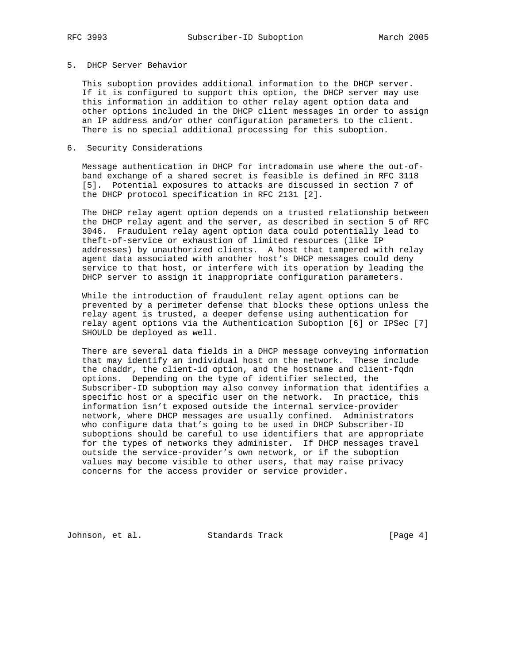# 5. DHCP Server Behavior

 This suboption provides additional information to the DHCP server. If it is configured to support this option, the DHCP server may use this information in addition to other relay agent option data and other options included in the DHCP client messages in order to assign an IP address and/or other configuration parameters to the client. There is no special additional processing for this suboption.

### 6. Security Considerations

 Message authentication in DHCP for intradomain use where the out-of band exchange of a shared secret is feasible is defined in RFC 3118 [5]. Potential exposures to attacks are discussed in section 7 of the DHCP protocol specification in RFC 2131 [2].

 The DHCP relay agent option depends on a trusted relationship between the DHCP relay agent and the server, as described in section 5 of RFC 3046. Fraudulent relay agent option data could potentially lead to theft-of-service or exhaustion of limited resources (like IP addresses) by unauthorized clients. A host that tampered with relay agent data associated with another host's DHCP messages could deny service to that host, or interfere with its operation by leading the DHCP server to assign it inappropriate configuration parameters.

 While the introduction of fraudulent relay agent options can be prevented by a perimeter defense that blocks these options unless the relay agent is trusted, a deeper defense using authentication for relay agent options via the Authentication Suboption [6] or IPSec [7] SHOULD be deployed as well.

 There are several data fields in a DHCP message conveying information that may identify an individual host on the network. These include the chaddr, the client-id option, and the hostname and client-fqdn options. Depending on the type of identifier selected, the Subscriber-ID suboption may also convey information that identifies a specific host or a specific user on the network. In practice, this information isn't exposed outside the internal service-provider network, where DHCP messages are usually confined. Administrators who configure data that's going to be used in DHCP Subscriber-ID suboptions should be careful to use identifiers that are appropriate for the types of networks they administer. If DHCP messages travel outside the service-provider's own network, or if the suboption values may become visible to other users, that may raise privacy concerns for the access provider or service provider.

Johnson, et al. Standards Track [Page 4]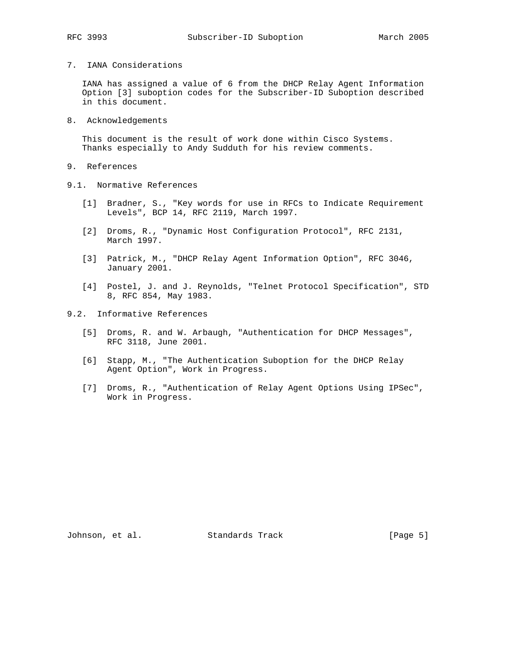7. IANA Considerations

 IANA has assigned a value of 6 from the DHCP Relay Agent Information Option [3] suboption codes for the Subscriber-ID Suboption described in this document.

8. Acknowledgements

 This document is the result of work done within Cisco Systems. Thanks especially to Andy Sudduth for his review comments.

- 9. References
- 9.1. Normative References
	- [1] Bradner, S., "Key words for use in RFCs to Indicate Requirement Levels", BCP 14, RFC 2119, March 1997.
	- [2] Droms, R., "Dynamic Host Configuration Protocol", RFC 2131, March 1997.
	- [3] Patrick, M., "DHCP Relay Agent Information Option", RFC 3046, January 2001.
	- [4] Postel, J. and J. Reynolds, "Telnet Protocol Specification", STD 8, RFC 854, May 1983.
- 9.2. Informative References
	- [5] Droms, R. and W. Arbaugh, "Authentication for DHCP Messages", RFC 3118, June 2001.
	- [6] Stapp, M., "The Authentication Suboption for the DHCP Relay Agent Option", Work in Progress.
	- [7] Droms, R., "Authentication of Relay Agent Options Using IPSec", Work in Progress.

Johnson, et al. Standards Track [Page 5]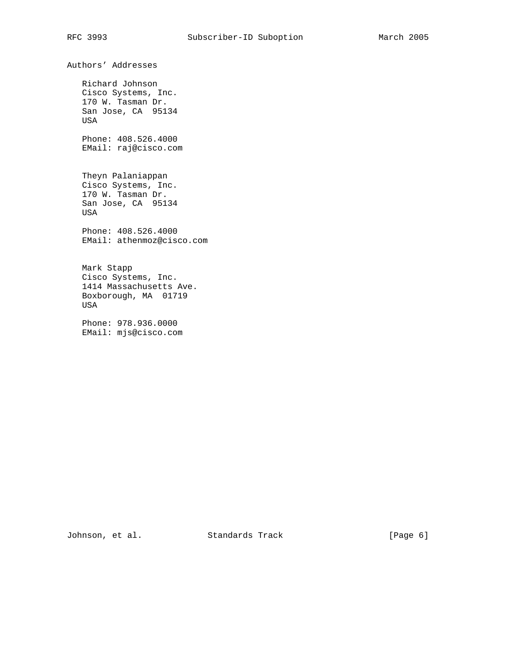Authors' Addresses

 Richard Johnson Cisco Systems, Inc. 170 W. Tasman Dr. San Jose, CA 95134 USA Phone: 408.526.4000 EMail: raj@cisco.com Theyn Palaniappan Cisco Systems, Inc. 170 W. Tasman Dr. San Jose, CA 95134 USA Phone: 408.526.4000 EMail: athenmoz@cisco.com Mark Stapp Cisco Systems, Inc. 1414 Massachusetts Ave. Boxborough, MA 01719 USA Phone: 978.936.0000 EMail: mjs@cisco.com

Johnson, et al. Standards Track [Page 6]